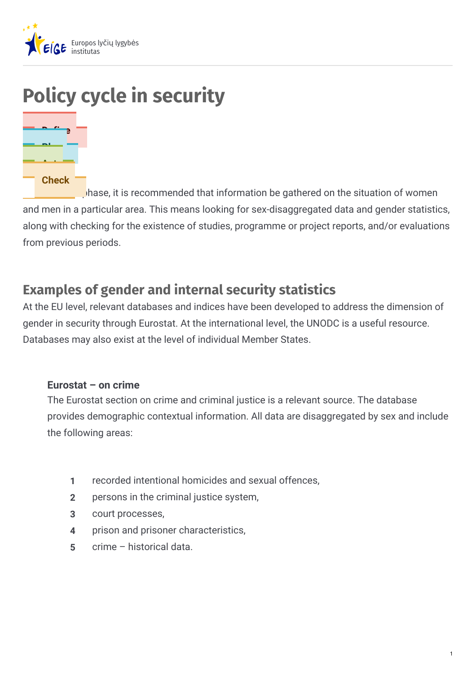

# **Policy cycle in security**



 $\Box$ hase, it is recommended that information be gathered on the situation of women and men in a particular area. This means looking for sex-disaggregated data and gender statistics, along with checking for the existence of studies, programme or project reports, and/or evaluations from previous periods.

## **Examples of gender and internal security statistics**

At the EU level, relevant databases and indices have been developed to address the dimension of gender in security through Eurostat. At the international level, the UNODC is a useful resource. Databases may also exist at the level of individual Member States.

#### **Eurostat – on crime**

The Eurostat section on crime and criminal justice is a relevant source. The database provides demographic contextual information. All data are disaggregated by sex and include the following areas:

- **1** recorded intentional homicides and sexual offences,
- **2** persons in the criminal justice system,
- **3** court processes,
- **4** prison and prisoner characteristics,
- **5** crime historical data.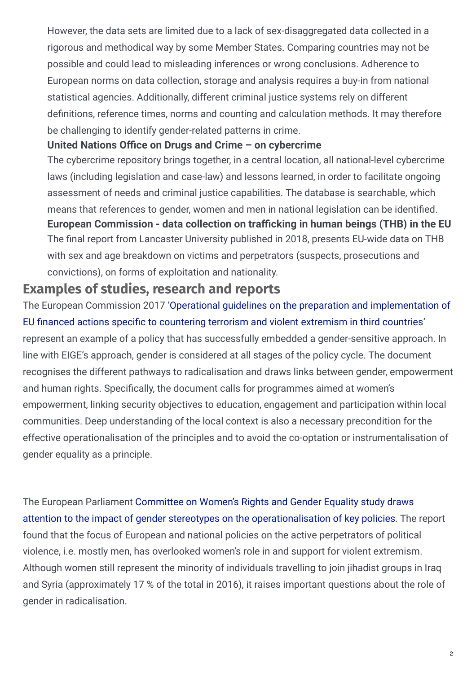However, the data sets are limited due to a lack of sex-disaggregated data collected in a rigorous and methodical way by some Member States. Comparing countries may not be possible and could lead to misleading inferences or wrong conclusions. Adherence to European norms on data collection, storage and analysis requires a buy-in from national statistical agencies. Additionally, different criminal justice systems rely on different definitions, reference times, norms and counting and calculation methods. It may therefore be challenging to identify gender-related patterns in crime.

#### **United Nations Office on Drugs and Crime – on cybercrime**

The cybercrime repository brings together, in a central location, all national-level cybercrime laws (including legislation and case-law) and lessons learned, in order to facilitate ongoing assessment of needs and criminal justice capabilities. The database is searchable, which means that references to gender, women and men in national legislation can be identified. The final report from Lancaster University published in 2018, presents EU-wide data on THB with sex and age breakdown on victims and perpetrators (suspects, prosecutions and convictions), on forms of exploitation and nationality. **European Commission - data collection on tra cking in human beings (THB) in the EU**

## **Examples of studies, research and reports**

The European Commission 2017 'Operational guidelines on the preparation and [implementation](http://ct-morse.eu/eu-guidelines-on-ctcve-interventions-in-third-countries/) of EU financed actions specific to countering terrorism and violent extremism in third countries' represent an example of a policy that has successfully embedded a gender-sensitive approach. In line with EIGE's approach, gender is considered at all stages of the policy cycle. The document recognises the different pathways to radicalisation and draws links between gender, empowerment and human rights. Specifically, the document calls for programmes aimed at women's empowerment, linking security objectives to education, engagement and participation within local communities. Deep understanding of the local context is also a necessary precondition for the effective operationalisation of the principles and to avoid the co-optation or instrumentalisation of gender equality as a principle.

The European Parliament Committee on Women's Rights and Gender Equality study draws attention to the impact of gender stereotypes on the [operationalisation](https://www.europarl.europa.eu/RegData/etudes/STUD/2018/604955/IPOL_STU(2018)604955_EN.pdf) of key policies. The report found that the focus of European and national policies on the active perpetrators of political violence, i.e. mostly men, has overlooked women's role in and support for violent extremism. Although women still represent the minority of individuals travelling to join jihadist groups in Iraq and Syria (approximately 17 % of the total in 2016), it raises important questions about the role of gender in radicalisation.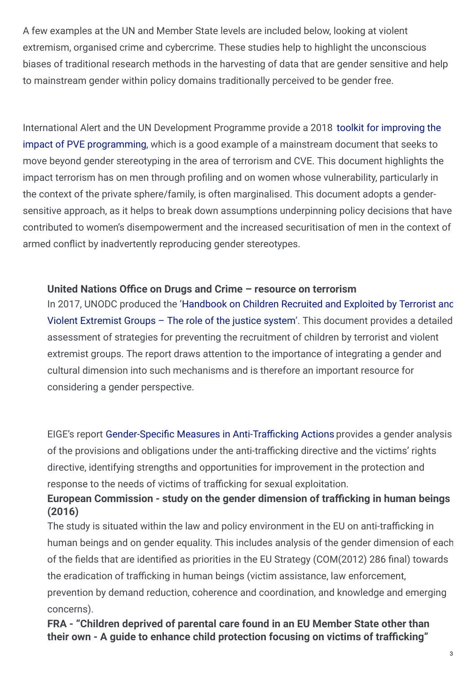A few examples at the UN and Member State levels are included below, looking at violent extremism, organised crime and cybercrime. These studies help to highlight the unconscious biases of traditional research methods in the harvesting of data that are gender sensitive and help to mainstream gender within policy domains traditionally perceived to be gender free.

International Alert and the UN [Development](https://www.undp.org/content/undp/en/home/librarypage/democratic-governance/oslo_governance_centre/improving-the-impact-of-preventing-violent-extremism-programming.html) Programme provide a 2018 toolkit for improving the impact of PVE programming, which is a good example of a mainstream document that seeks to move beyond gender stereotyping in the area of terrorism and CVE. This document highlights the impact terrorism has on men through profiling and on women whose vulnerability, particularly in the context of the private sphere/family, is often marginalised. This document adopts a gendersensitive approach, as it helps to break down assumptions underpinning policy decisions that have contributed to women's disempowerment and the increased securitisation of men in the context of armed conflict by inadvertently reproducing gender stereotypes.

#### *<u>Musical</u>* Nations Office on Drugs and Crime – resource on terrorism

In 2017, UNODC produced the ['Handbook](https://www.unodc.org/documents/justice-and-prison-reform/Child-Victims/Handbook_on_Children_Recruited_and_Exploited_by_Terrorist_and_Violent_Extremist_Groups_the_Role_of_the_Justice_System.E.pdf) on Children Recruited and Exploited by Terrorist and Violent Extremist Groups – The role of the justice system'. This document provides a detailed assessment of strategies for preventing the recruitment of children by terrorist and violent extremist groups. The report draws attention to the importance of integrating a gender and cultural dimension into such mechanisms and is therefore an important resource for considering a gender perspective.

EIGE's report Gender-Specific Measures in Anti-Trafficking Actions provides a gender analysis of the provisions and obligations under the anti-trafficking directive and the victims' rights directive, identifying strengths and opportunities for improvement in the protection and response to the needs of victims of trafficking for sexual exploitation.

### **European Commission - study on the gender dimension of tra cking in human beings (2016)**

The study is situated within the law and policy environment in the EU on anti-trafficking in human beings and on gender equality. This includes analysis of the gender dimension of each of the fields that are identified as priorities in the EU Strategy (COM(2012) 286 final) towards the eradication of trafficking in human beings (victim assistance, law enforcement, prevention by demand reduction, coherence and coordination, and knowledge and emerging concerns).

**FRA - "Children deprived of parental care found in an EU Member State other than their own - A guide to enhance child protection focusing on victims of tra cking"**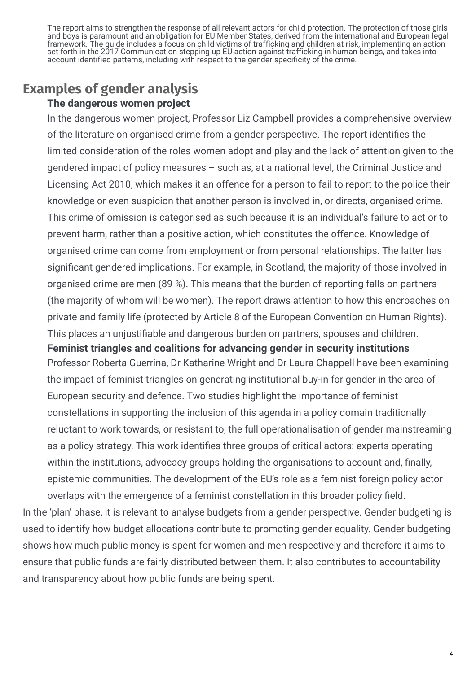The report aims to strengthen the response of all relevant actors for child protection. The protection of those girls and boys is paramount and an obligation for EU Member States, derived from the international and European legal framework. The guide includes a focus on child victims of trafficking and children at risk, implementing an action set forth in the 2017 Communication stepping up EU action against trafficking in human beings, and takes into account identified patterns, including with respect to the gender specificity of the crime.

## **Examples of gender analysis**

#### **The dangerous women project**

In the dangerous women project, Professor Liz Campbell provides a comprehensive overview of the literature on organised crime from a gender perspective. The report identifies the limited consideration of the roles women adopt and play and the lack of attention given to the gendered impact of policy measures – such as, at a national level, the Criminal Justice and Licensing Act 2010, which makes it an offence for a person to fail to report to the police their knowledge or even suspicion that another person is involved in, or directs, organised crime. This crime of omission is categorised as such because it is an individual's failure to act or to prevent harm, rather than a positive action, which constitutes the offence. Knowledge of organised crime can come from employment or from personal relationships. The latter has significant gendered implications. For example, in Scotland, the majority of those involved in organised crime are men (89 %). This means that the burden of reporting falls on partners (the majority of whom will be women). The report draws attention to how this encroaches on private and family life (protected by Article 8 of the European Convention on Human Rights). This places an uniustifiable and dangerous burden on partners, spouses and children.

Professor Roberta Guerrina, Dr Katharine Wright and Dr Laura Chappell have been examining the impact of feminist triangles on generating institutional buy-in for gender in the area of European security and defence. Two studies highlight the importance of feminist constellations in supporting the inclusion of this agenda in a policy domain traditionally reluctant to work towards, or resistant to, the full operationalisation of gender mainstreaming as a policy strategy. This work identifies three groups of critical actors: experts operating within the institutions, advocacy groups holding the organisations to account and, finally, epistemic communities. The development of the EU's role as a feminist foreign policy actor overlaps with the emergence of a feminist constellation in this broader policy field. **Feminist triangles and coalitions for advancing gender in security institutions**

In the 'plan' phase, it is relevant to analyse budgets from a gender perspective. Gender budgeting is used to identify how budget allocations contribute to promoting gender equality. Gender budgeting shows how much public money is spent for women and men respectively and therefore it aims to ensure that public funds are fairly distributed between them. It also contributes to accountability and transparency about how public funds are being spent.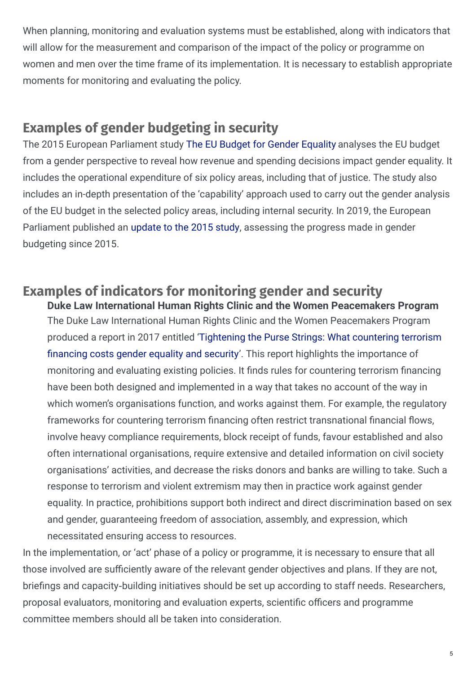When planning, monitoring and evaluation systems must be established, along with indicators that will allow for the measurement and comparison of the impact of the policy or programme on women and men over the time frame of its implementation. It is necessary to establish appropriate moments for monitoring and evaluating the policy.

## **Examples of gender budgeting in security**

The 2015 European Parliament study The EU Budget for Gender [Equality](https://www.europarl.europa.eu/RegData/etudes/STUD/2015/490708/IPOL_STU(2015)490708_EN.pdf) analyses the EU budget from a gender perspective to reveal how revenue and spending decisions impact gender equality. It includes the operational expenditure of six policy areas, including that of justice. The study also includes an in-depth presentation of the 'capability' approach used to carry out the gender analysis of the EU budget in the selected policy areas, including internal security. In 2019, the European Parliament published an [update](https://www.europarl.europa.eu/RegData/etudes/STUD/2019/621801/IPOL_STU(2019)621801_EN.pdf) to the 2015 study, assessing the progress made in gender budgeting since 2015.

#### **Examples of indicators for monitoring gender and security Duke Law International Human Rights Clinic and the Women Peacemakers Program**

The Duke Law International Human Rights Clinic and the Women Peacemakers Program produced a report in 2017 entitled ['Tightening](https://www.peacewomen.org/sites/default/files/Tightening the purse strings.pdf) the Purse Strings: What countering terrorism financing costs gender equality and security'. This report highlights the importance of monitoring and evaluating existing policies. It finds rules for countering terrorism financing have been both designed and implemented in a way that takes no account of the way in which women's organisations function, and works against them. For example, the regulatory frameworks for countering terrorism financing often restrict transnational financial flows, involve heavy compliance requirements, block receipt of funds, favour established and also often international organisations, require extensive and detailed information on civil society organisations' activities, and decrease the risks donors and banks are willing to take. Such a response to terrorism and violent extremism may then in practice work against gender equality. In practice, prohibitions support both indirect and direct discrimination based on sex and gender, guaranteeing freedom of association, assembly, and expression, which necessitated ensuring access to resources.

In the implementation, or 'act' phase of a policy or programme, it is necessary to ensure that all those involved are sufficiently aware of the relevant gender objectives and plans. If they are not, briefings and capacity-building initiatives should be set up according to staff needs. Researchers, proposal evaluators, monitoring and evaluation experts, scientific officers and programme committee members should all be taken into consideration.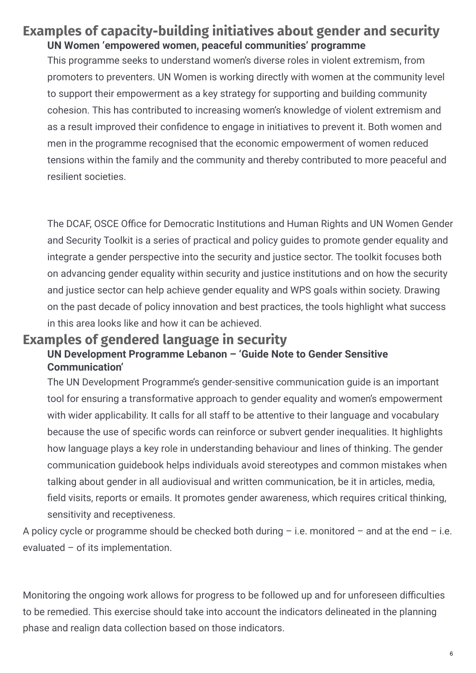## **Examples of capacity‑building initiatives about gender and security UN Women 'empowered women, peaceful communities' programme**

This programme seeks to understand women's diverse roles in violent extremism, from promoters to preventers. UN Women is working directly with women at the community level to support their empowerment as a key strategy for supporting and building community cohesion. This has contributed to increasing women's knowledge of violent extremism and as a result improved their confidence to engage in initiatives to prevent it. Both women and men in the programme recognised that the economic empowerment of women reduced tensions within the family and the community and thereby contributed to more peaceful and resilient societies.

The DCAF, OSCE Office for Democratic Institutions and Human Rights and UN Women Gender and Security Toolkit is a series of practical and policy guides to promote gender equality and integrate a gender perspective into the security and justice sector. The toolkit focuses both on advancing gender equality within security and justice institutions and on how the security and justice sector can help achieve gender equality and WPS goals within society. Drawing on the past decade of policy innovation and best practices, the tools highlight what success in this area looks like and how it can be achieved.

## **Examples of gendered language in security**

### **UN Development Programme Lebanon – 'Guide Note to Gender Sensitive Communication'**

The UN Development Programme's gender-sensitive communication guide is an important tool for ensuring a transformative approach to gender equality and women's empowerment with wider applicability. It calls for all staff to be attentive to their language and vocabulary because the use of specific words can reinforce or subvert gender inequalities. It highlights how language plays a key role in understanding behaviour and lines of thinking. The gender communication guidebook helps individuals avoid stereotypes and common mistakes when talking about gender in all audiovisual and written communication, be it in articles, media, field visits, reports or emails. It promotes gender awareness, which requires critical thinking, sensitivity and receptiveness.

A policy cycle or programme should be checked both during  $-$  i.e. monitored  $-$  and at the end  $-$  i.e. evaluated – of its implementation.

Monitoring the ongoing work allows for progress to be followed up and for unforeseen difficulties to be remedied. This exercise should take into account the indicators delineated in the planning phase and realign data collection based on those indicators.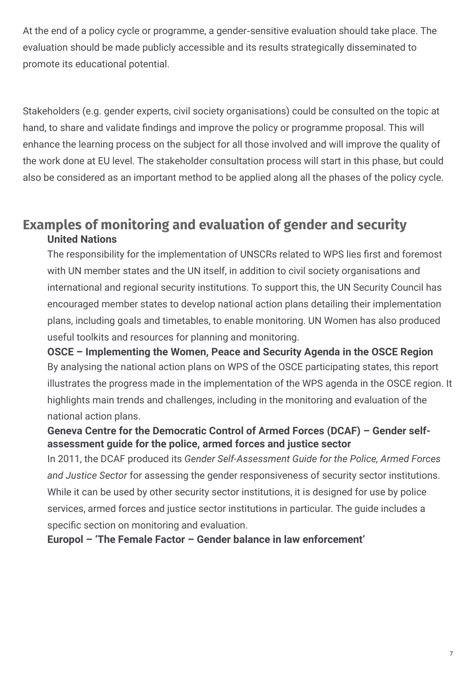At the end of a policy cycle or programme, a gender‑sensitive evaluation should take place. The evaluation should be made publicly accessible and its results strategically disseminated to promote its educational potential.

Stakeholders (e.g. gender experts, civil society organisations) could be consulted on the topic at hand, to share and validate findings and improve the policy or programme proposal. This will enhance the learning process on the subject for all those involved and will improve the quality of the work done at EU level. The stakeholder consultation process will start in this phase, but could also be considered as an important method to be applied along all the phases of the policy cycle.

## **Examples of monitoring and evaluation of gender and security United Nations**

The responsibility for the implementation of UNSCRs related to WPS lies first and foremost with UN member states and the UN itself, in addition to civil society organisations and international and regional security institutions. To support this, the UN Security Council has encouraged member states to develop national action plans detailing their implementation plans, including goals and timetables, to enable monitoring. UN Women has also produced useful toolkits and resources for planning and monitoring.

By analysing the national action plans on WPS of the OSCE participating states, this report illustrates the progress made in the implementation of the WPS agenda in the OSCE region. It highlights main trends and challenges, including in the monitoring and evaluation of the national action plans. **OSCE – Implementing the Women, Peace and Security Agenda in the OSCE Region**

### **Geneva Centre for the Democratic Control of Armed Forces (DCAF) – Gender selfassessment guide for the police, armed forces and justice sector**

In 2011, the DCAF produced its *Gender Self-Assessment Guide for the Police, Armed Forces and Justice Sector* for assessing the gender responsiveness of security sector institutions. While it can be used by other security sector institutions, it is designed for use by police services, armed forces and justice sector institutions in particular. The guide includes a specific section on monitoring and evaluation.

**Europol – 'The Female Factor – Gender balance in law enforcement'**